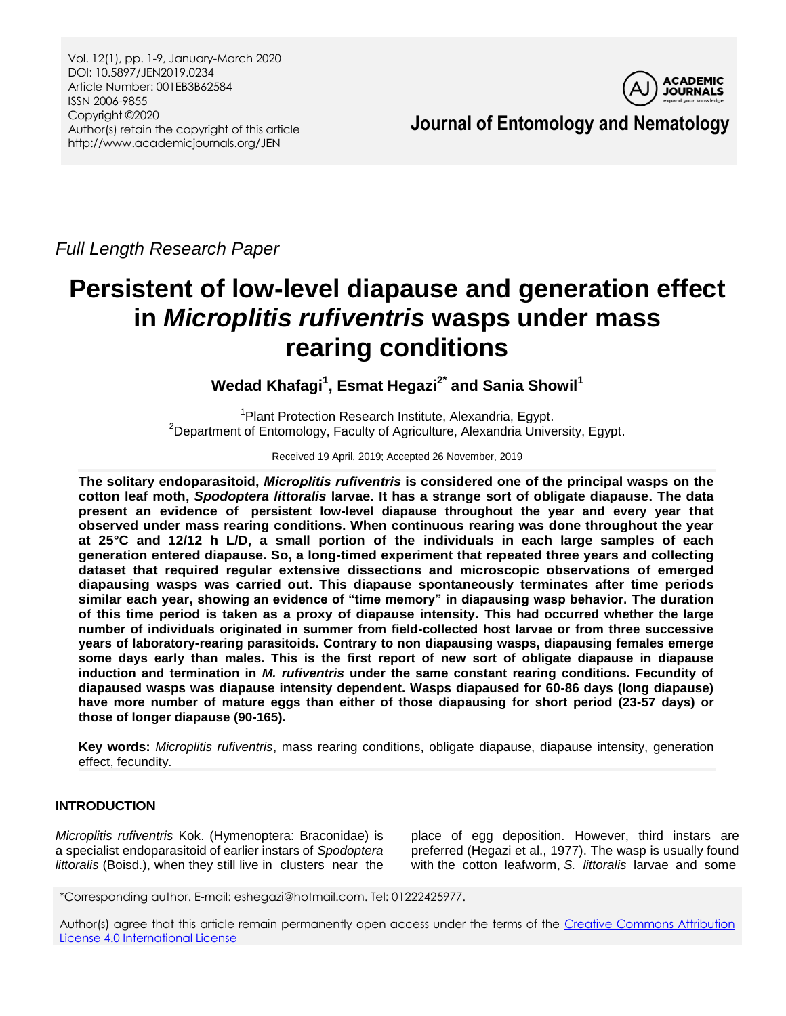Vol. 12(1), pp. 1-9, January-March 2020 DOI: 10.5897/JEN2019.0234 Article Number: 001EB3B62584 ISSN 2006-9855 Copyright ©2020 Author(s) retain the copyright of this article http://www.academicjournals.org/JEN



**Journal of Entomology and Nematology**

*Full Length Research Paper*

# **Persistent of low-level diapause and generation effect in** *Microplitis rufiventris* **wasps under mass rearing conditions**

**Wedad Khafagi<sup>1</sup> , Esmat Hegazi2\* and Sania Showil<sup>1</sup>**

<sup>1</sup> Plant Protection Research Institute, Alexandria, Egypt. <sup>2</sup>Department of Entomology, Faculty of Agriculture, Alexandria University, Egypt.

Received 19 April, 2019; Accepted 26 November, 2019

**The solitary endoparasitoid,** *Microplitis rufiventris* **is considered one of the principal wasps on the cotton leaf moth,** *Spodoptera littoralis* **larvae. It has a strange sort of obligate diapause. The data present an evidence of persistent low-level diapause throughout the year and every year that observed under mass rearing conditions. When continuous rearing was done throughout the year at 25°C and 12/12 h L/D, a small portion of the individuals in each large samples of each generation entered diapause. So, a long-timed experiment that repeated three years and collecting dataset that required regular extensive dissections and microscopic observations of emerged diapausing wasps was carried out. This diapause spontaneously terminates after time periods similar each year, showing an evidence of "time memory" in diapausing wasp behavior. The duration of this time period is taken as a proxy of diapause intensity. This had occurred whether the large number of individuals originated in summer from field-collected host larvae or from three successive years of laboratory-rearing parasitoids. Contrary to non diapausing wasps, diapausing females emerge some days early than males. This is the first report of new sort of obligate diapause in diapause induction and termination in** *M. rufiventris* **under the same constant rearing conditions. Fecundity of diapaused wasps was diapause intensity dependent. Wasps diapaused for 60-86 days (long diapause) have more number of mature eggs than either of those diapausing for short period (23-57 days) or those of longer diapause (90-165).**

**Key words:** *Microplitis rufiventris*, mass rearing conditions, obligate diapause, diapause intensity, generation effect, fecundity.

# **INTRODUCTION**

*Microplitis rufiventris* Kok. (Hymenoptera: Braconidae) is a specialist endoparasitoid of earlier instars of *Spodoptera littoralis* (Boisd.), when they still live in clusters near the

place of egg deposition. However, third instars are preferred (Hegazi et al., 1977). The wasp is usually found with the cotton leafworm, *S. littoralis* larvae and some

\*Corresponding author. E-mail: eshegazi@hotmail.com. Tel: 01222425977.

Author(s) agree that this article remain permanently open access under the terms of the Creative Commons Attribution [License 4.0 International License](http://creativecommons.org/licenses/by/4.0/deed.en_US)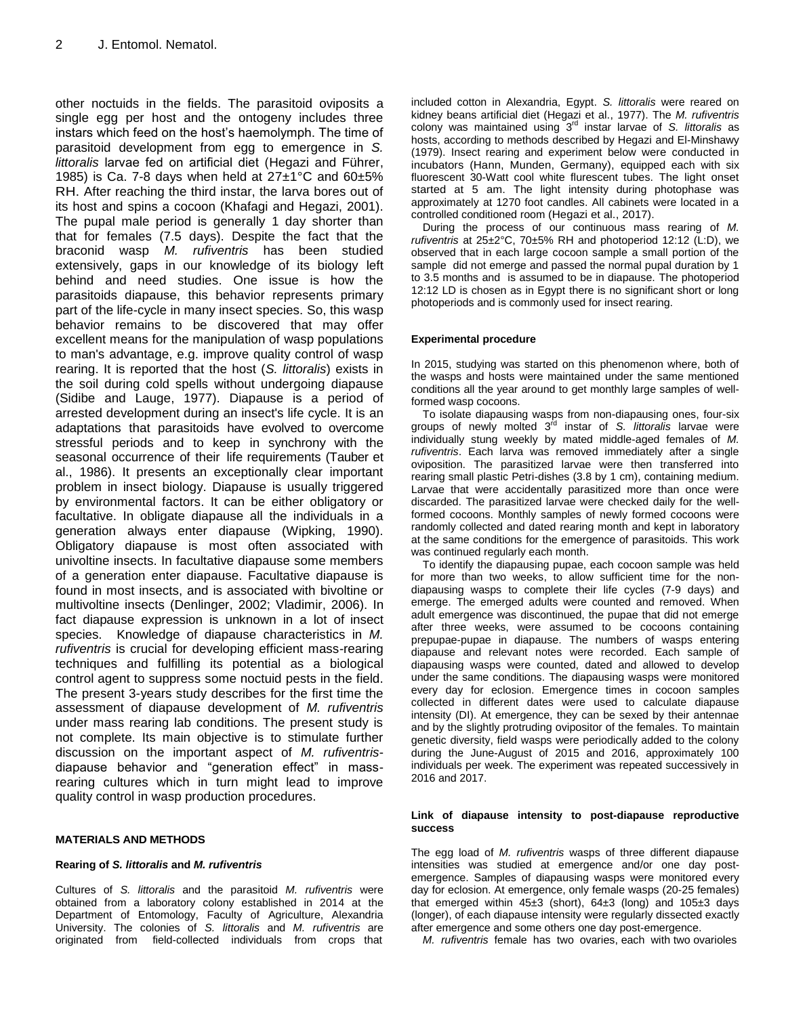other noctuids in the fields. The parasitoid oviposits a single egg per host and the ontogeny includes three instars which feed on the host's haemolymph. The time of parasitoid development from egg to emergence in *S. littoralis* larvae fed on artificial diet (Hegazi and Führer, 1985) is Ca. 7-8 days when held at  $27\pm1\degree$ C and  $60\pm5\%$ RH. After reaching the third instar, the larva bores out of its host and spins a cocoon (Khafagi and Hegazi, 2001). The pupal male period is generally 1 day shorter than that for females (7.5 days). Despite the fact that the braconid wasp *M. rufiventris* has been studied extensively, gaps in our knowledge of its biology left behind and need studies. One issue is how the parasitoids diapause, this behavior represents primary part of the life-cycle in many insect species. So, this wasp behavior remains to be discovered that may offer excellent means for the manipulation of wasp populations to man's advantage, e.g. improve quality control of wasp rearing. It is reported that the host (*S. littoralis*) exists in the soil during cold spells without undergoing [diapause](http://www.agri.huji.ac.il/mepests/entry/Diapause) (Sidibe and Lauge, 1977). Diapause is a period of arrested development during an insect's life cycle. It is an adaptations that parasitoids have evolved to overcome stressful periods and to keep in synchrony with the seasonal occurrence of their life requirements (Tauber et al., 1986). It presents an exceptionally clear important problem in insect biology. Diapause is usually triggered by environmental factors. It can be either obligatory or facultative. In obligate diapause all the individuals in a generation always enter diapause (Wipking, 1990). Obligatory diapause is most often associated with univoltine insects. In facultative diapause some members of a generation enter diapause. Facultative diapause is found in most insects, and is associated with bivoltine or multivoltine insects (Denlinger, 2002; Vladimir, 2006). In fact diapause expression is unknown in a lot of insect species. Knowledge of diapause characteristics in *M. rufiventris* is crucial for developing efficient mass-rearing techniques and fulfilling its potential as a biological control agent to suppress some noctuid pests in the field. The present 3-years study describes for the first time the assessment of diapause development of *M. rufiventris* under mass rearing lab conditions. The present study is not complete. Its main objective is to stimulate further discussion on the important aspect of *M. rufiventris*diapause behavior and "generation effect" in massrearing cultures which in turn might lead to improve quality control in wasp production procedures.

#### **MATERIALS AND METHODS**

#### **Rearing of** *S. littoralis* **and** *M. rufiventris*

Cultures of *S. littoralis* and the parasitoid *M. rufiventris* were obtained from a laboratory colony established in 2014 at the Department of Entomology, Faculty of Agriculture, Alexandria University. The colonies of *S. littoralis* and *M. rufiventris* are originated from field-collected individuals from crops that

included cotton in Alexandria, Egypt. *S. littoralis* were reared on kidney beans artificial diet (Hegazi et al., 1977). The *M. rufiventris* colony was maintained using 3 rd instar larvae of *S. littoralis* as hosts, according to methods described by Hegazi and El-Minshawy (1979). Insect rearing and experiment below were conducted in incubators (Hann, Munden, Germany), equipped each with six fluorescent 30-Watt cool white flurescent tubes. The light onset started at 5 am. The light intensity during photophase was approximately at 1270 foot candles. All cabinets were located in a controlled conditioned room (Hegazi et al., 2017).

During the process of our continuous mass rearing of *M. rufiventris* at 25±2°C, 70±5% RH and photoperiod 12:12 (L:D), we observed that in each large cocoon sample a small portion of the sample did not emerge and passed the normal pupal duration by 1 to 3.5 months and is assumed to be in diapause. The photoperiod 12:12 LD is chosen as in Egypt there is no significant short or long photoperiods and is commonly used for insect rearing.

#### **Experimental procedure**

In 2015, studying was started on this phenomenon where, both of the wasps and hosts were maintained under the same mentioned conditions all the year around to get monthly large samples of wellformed wasp cocoons.

To isolate diapausing wasps from non-diapausing ones, four-six groups of newly molted 3rd instar of *S. littoralis* larvae were individually stung weekly by mated middle-aged females of *M. rufiventris*. Each larva was removed immediately after a single oviposition. The parasitized larvae were then transferred into rearing small plastic Petri-dishes (3.8 by 1 cm), containing medium. Larvae that were accidentally parasitized more than once were discarded. The parasitized larvae were checked daily for the wellformed cocoons. Monthly samples of newly formed cocoons were randomly collected and dated rearing month and kept in laboratory at the same conditions for the emergence of parasitoids. This work was continued regularly each month.

To identify the diapausing pupae, each cocoon sample was held for more than two weeks, to allow sufficient time for the nondiapausing wasps to complete their life cycles (7-9 days) and emerge. The emerged adults were counted and removed. When adult emergence was discontinued, the pupae that did not emerge after three weeks, were assumed to be cocoons containing prepupae-pupae in diapause. The numbers of wasps entering diapause and relevant notes were recorded. Each sample of diapausing wasps were counted, dated and allowed to develop under the same conditions. The diapausing wasps were monitored every day for eclosion. Emergence times in cocoon samples collected in different dates were used to calculate diapause intensity (DI). At emergence, they can be sexed by their antennae and by the slightly protruding ovipositor of the females. To maintain genetic diversity, field wasps were periodically added to the colony during the June-August of 2015 and 2016, approximately 100 individuals per week. The experiment was repeated successively in 2016 and 2017.

#### **Link of diapause intensity to post-diapause reproductive success**

The egg load of *M. rufiventris* wasps of three different diapause intensities was studied at emergence and/or one day postemergence. Samples of diapausing wasps were monitored every day for eclosion. At emergence, only female wasps (20-25 females) that emerged within 45±3 (short), 64±3 (long) and 105±3 days (longer), of each diapause intensity were regularly dissected exactly after emergence and some others one day post-emergence.

*M. rufiventris* female has two ovaries, each with two ovarioles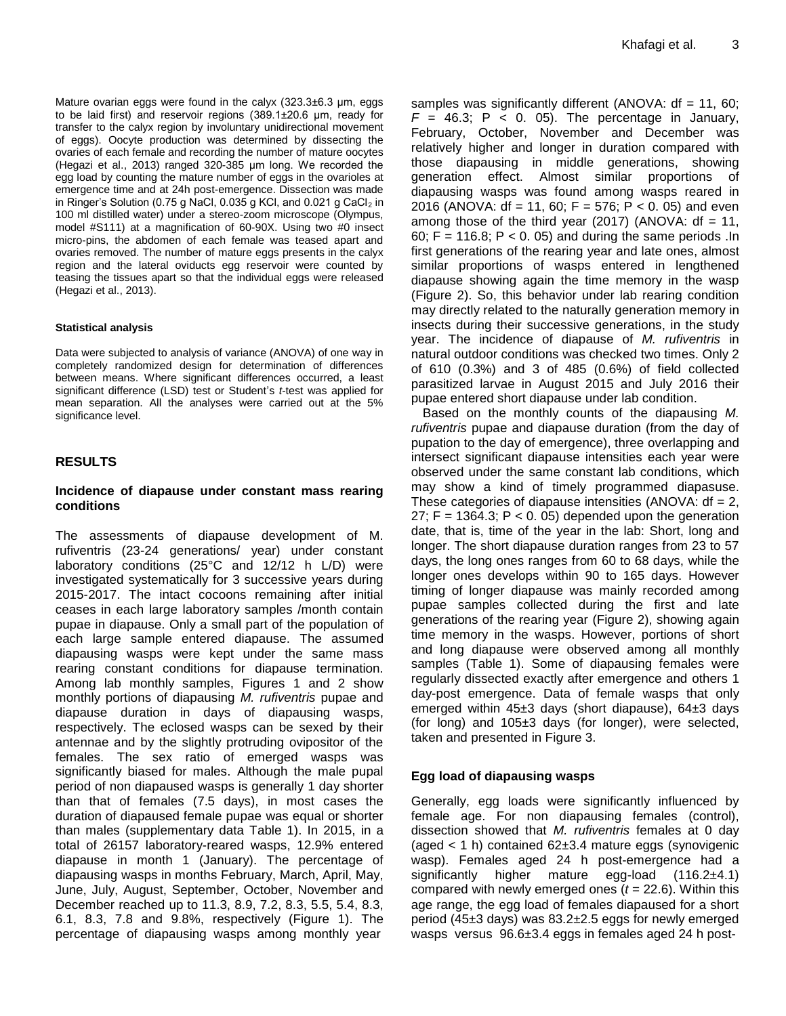Mature ovarian eggs were found in the calyx (323.3±6.3 μm, eggs to be laid first) and reservoir regions (389.1±20.6 μm, ready for transfer to the calyx region by involuntary unidirectional movement of eggs). Oocyte production was determined by dissecting the ovaries of each female and recording the number of mature oocytes (Hegazi et al., 2013) ranged 320-385 μm long. We recorded the egg load by counting the mature number of eggs in the ovarioles at emergence time and at 24h post-emergence. Dissection was made in Ringer's Solution (0.75 g NaCl, 0.035 g KCl, and 0.021 g CaCl $_2$  in 100 ml distilled water) under a stereo-zoom microscope (Olympus, model #S111) at a magnification of 60-90X. Using two #0 insect micro-pins, the abdomen of each female was teased apart and ovaries removed. The number of mature eggs presents in the calyx region and the lateral oviducts egg reservoir were counted by teasing the tissues apart so that the individual eggs were released (Hegazi et al., 2013).

#### **Statistical analysis**

Data were subjected to analysis of variance (ANOVA) of one way in completely randomized design for determination of differences between means. Where significant differences occurred, a least significant difference (LSD) test or Student's *t*-test was applied for mean separation. All the analyses were carried out at the 5% significance level.

# **RESULTS**

#### **Incidence of diapause under constant mass rearing conditions**

The assessments of diapause development of M. rufiventris (23-24 generations/ year) under constant laboratory conditions (25°C and 12/12 h L/D) were investigated systematically for 3 successive years during 2015-2017. The intact cocoons remaining after initial ceases in each large laboratory samples /month contain pupae in diapause. Only a small part of the population of each large sample entered diapause. The assumed diapausing wasps were kept under the same mass rearing constant conditions for diapause termination. Among lab monthly samples, Figures 1 and 2 show monthly portions of diapausing *M. rufiventris* pupae and diapause duration in days of diapausing wasps, respectively. The eclosed wasps can be sexed by their antennae and by the slightly protruding ovipositor of the females. The sex ratio of emerged wasps was significantly biased for males. Although the male pupal period of non diapaused wasps is generally 1 day shorter than that of females (7.5 days), in most cases the duration of diapaused female pupae was equal or shorter than males (supplementary data Table 1). In 2015, in a total of 26157 laboratory-reared wasps, 12.9% entered diapause in month 1 (January). The percentage of diapausing wasps in months February, March, April, May, June, July, August, September, October, November and December reached up to 11.3, 8.9, 7.2, 8.3, 5.5, 5.4, 8.3, 6.1, 8.3, 7.8 and 9.8%, respectively (Figure 1). The percentage of diapausing wasps among monthly year

samples was significantly different (ANOVA:  $df = 11$ , 60;  $F = 46.3$ ;  $P < 0.05$ ). The percentage in January, February, October, November and December was relatively higher and longer in duration compared with those diapausing in middle generations, showing generation effect. Almost similar proportions of diapausing wasps was found among wasps reared in 2016 (ANOVA: df = 11, 60; F = 576; P < 0. 05) and even among those of the third year (2017) (ANOVA:  $df = 11$ , 60; F = 116.8; P < 0. 05) and during the same periods . In first generations of the rearing year and late ones, almost similar proportions of wasps entered in lengthened diapause showing again the time memory in the wasp (Figure 2). So, this behavior under lab rearing condition may directly related to the naturally generation memory in insects during their successive generations, in the study year. The incidence of diapause of *M. rufiventris* in natural outdoor conditions was checked two times. Only 2 of 610 (0.3%) and 3 of 485 (0.6%) of field collected parasitized larvae in August 2015 and July 2016 their pupae entered short diapause under lab condition.

Based on the monthly counts of the diapausing *M. rufiventris* pupae and diapause duration (from the day of pupation to the day of emergence), three overlapping and intersect significant diapause intensities each year were observed under the same constant lab conditions, which may show a kind of timely programmed diapasuse. These categories of diapause intensities (ANOVA:  $df = 2$ , 27;  $F = 1364.3$ ;  $P < 0.05$ ) depended upon the generation date, that is, time of the year in the lab: Short, long and longer. The short diapause duration ranges from 23 to 57 days, the long ones ranges from 60 to 68 days, while the longer ones develops within 90 to 165 days. However timing of longer diapause was mainly recorded among pupae samples collected during the first and late generations of the rearing year (Figure 2), showing again time memory in the wasps. However, portions of short and long diapause were observed among all monthly samples (Table 1). Some of diapausing females were regularly dissected exactly after emergence and others 1 day-post emergence. Data of female wasps that only emerged within 45±3 days (short diapause), 64±3 days (for long) and  $105±3$  days (for longer), were selected, taken and presented in Figure 3.

## **Egg load of diapausing wasps**

Generally, egg loads were significantly influenced by female age. For non diapausing females (control), dissection showed that *M. rufiventris* females at 0 day (aged  $<$  1 h) contained 62 $\pm$ 3.4 mature eggs (synovigenic wasp). Females aged 24 h post-emergence had a significantly higher mature egg-load (116.2±4.1) compared with newly emerged ones (*t* = 22.6). Within this age range, the egg load of females diapaused for a short period (45±3 days) was 83.2±2.5 eggs for newly emerged wasps versus 96.6±3.4 eggs in females aged 24 h post-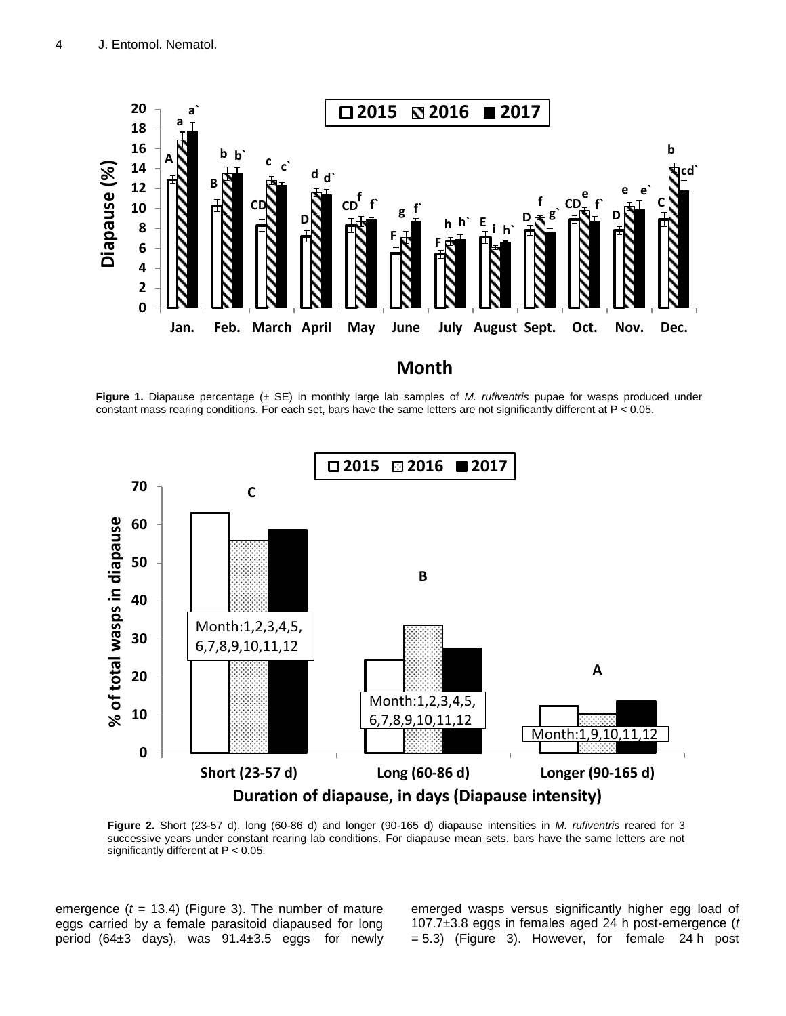

**Figure 1.** Diapause percentage (± SE) in monthly large lab samples of *M. rufiventris* pupae for wasps produced under constant mass rearing conditions. For each set, bars have the same letters are not significantly different at P < 0.05.



**Figure 2.** Short (23-57 d), long (60-86 d) and longer (90-165 d) diapause intensities in *M. rufiventris* reared for 3 successive years under constant rearing lab conditions. For diapause mean sets, bars have the same letters are not significantly different at P < 0.05.

emergence (*t* = 13.4) (Figure 3). The number of mature eggs carried by a female parasitoid diapaused for long period (64±3 days), was 91.4±3.5 eggs for newly emerged wasps versus significantly higher egg load of 107.7±3.8 eggs in females aged 24 h post-emergence (*t* = 5.3) (Figure 3). However, for female 24 h post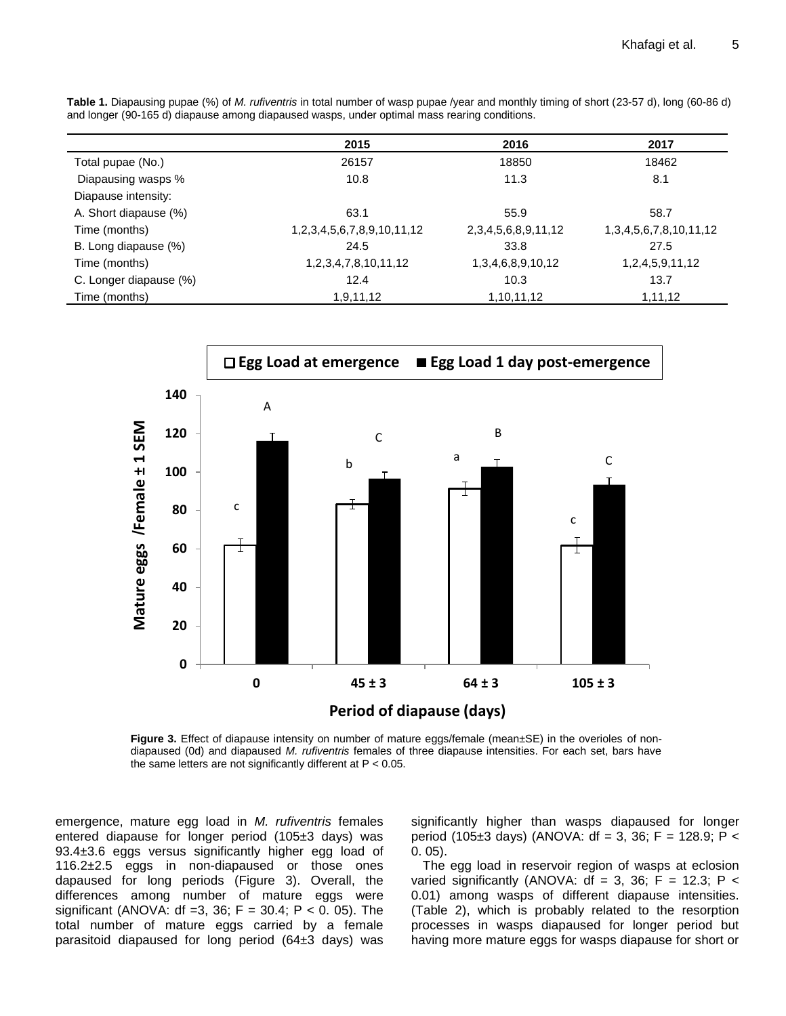| Table 1. Diapausing pupae (%) of M. rufiventris in total number of wasp pupae /year and monthly timing of short (23-57 d), long (60-86 d) |  |  |  |  |  |  |  |  |
|-------------------------------------------------------------------------------------------------------------------------------------------|--|--|--|--|--|--|--|--|
| and longer (90-165 d) diapause among diapaused wasps, under optimal mass rearing conditions.                                              |  |  |  |  |  |  |  |  |

|                        | 2015                                  | 2016                        | 2017                            |
|------------------------|---------------------------------------|-----------------------------|---------------------------------|
| Total pupae (No.)      | 26157                                 | 18850                       | 18462                           |
| Diapausing wasps %     | 10.8                                  | 11.3                        | 8.1                             |
| Diapause intensity:    |                                       |                             |                                 |
| A. Short diapause (%)  | 63.1                                  | 55.9                        | 58.7                            |
| Time (months)          | 1, 2, 3, 4, 5, 6, 7, 8, 9, 10, 11, 12 | 2, 3, 4, 5, 6, 8, 9, 11, 12 | 1, 3, 4, 5, 6, 7, 8, 10, 11, 12 |
| B. Long diapause (%)   | 24.5                                  | 33.8                        | 27.5                            |
| Time (months)          | 1, 2, 3, 4, 7, 8, 10, 11, 12          | 1, 3, 4, 6, 8, 9, 10, 12    | 1,2,4,5,9,11,12                 |
| C. Longer diapause (%) | 12.4                                  | 10.3                        | 13.7                            |
| Time (months)          | 1,9,11,12                             | 1,10,11,12                  | 1,11,12                         |
|                        |                                       |                             |                                 |



**Figure 3.** Effect of diapause intensity on number of mature eggs/female (mean±SE) in the overioles of nondiapaused (0d) and diapaused *M. rufiventris* females of three diapause intensities. For each set, bars have the same letters are not significantly different at  $P < 0.05$ .

emergence, mature egg load in *M. rufiventris* females entered diapause for longer period (105±3 days) was 93.4±3.6 eggs versus significantly higher egg load of 116.2±2.5 eggs in non-diapaused or those ones dapaused for long periods (Figure 3). Overall, the differences among number of mature eggs were significant (ANOVA: df =3, 36;  $F = 30.4$ ;  $P < 0.05$ ). The total number of mature eggs carried by a female parasitoid diapaused for long period (64±3 days) was

significantly higher than wasps diapaused for longer period (105 $\pm$ 3 days) (ANOVA: df = 3, 36; F = 128.9; P < 0. 05).

The egg load in reservoir region of wasps at eclosion varied significantly (ANOVA:  $df = 3$ , 36; F = 12.3; P < 0.01) among wasps of different diapause intensities. (Table 2), which is probably related to the resorption processes in wasps diapaused for longer period but having more mature eggs for wasps diapause for short or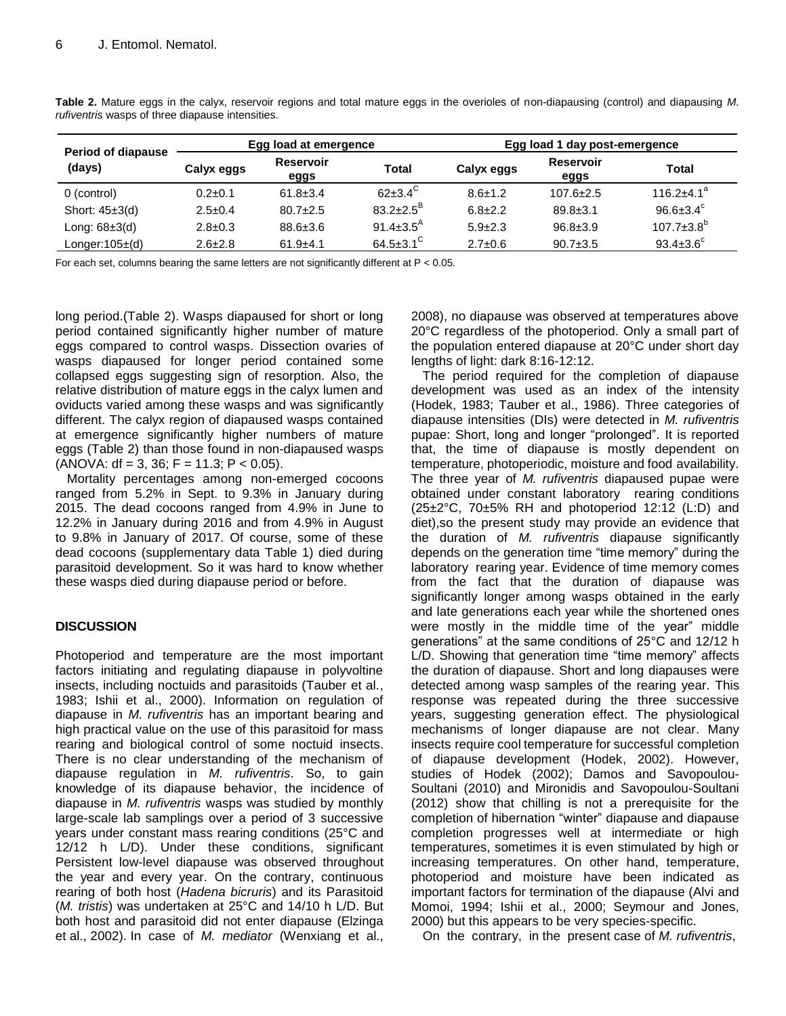| <b>Period of diapause</b> |               | Egg load at emergence    |                             | Egg load 1 day post-emergence |                          |                        |  |  |
|---------------------------|---------------|--------------------------|-----------------------------|-------------------------------|--------------------------|------------------------|--|--|
| (days)                    | Calyx eggs    | <b>Reservoir</b><br>eggs | Total                       | Calyx eggs                    | <b>Reservoir</b><br>eggs | <b>Total</b>           |  |  |
| 0 (control)               | $0.2 \pm 0.1$ | $61.8 \pm 3.4$           | $62 + 3.4^C$                | $8.6 + 1.2$                   | $107.6 \pm 2.5$          | $116.2 + 4.1a$         |  |  |
| Short: $45\pm3$ (d)       | $2.5 \pm 0.4$ | $80.7 \pm 2.5$           | $83.2 + 2.5^{\circ}$        | $6.8 + 2.2$                   | $89.8 \pm 3.1$           | $96.6 \pm 3.4^c$       |  |  |
| Long: $68\pm3$ (d)        | $2.8 \pm 0.3$ | $88.6 \pm 3.6$           | 91.4 $\pm$ 3.5 <sup>A</sup> | $5.9 \pm 2.3$                 | $96.8 \pm 3.9$           | $107.7 \pm 3.8^b$      |  |  |
| Longer: $105\pm$ (d)      | $2.6 \pm 2.8$ | $61.9+4.1$               | $64.5 \pm 3.1$ <sup>C</sup> | $2.7 \pm 0.6$                 | $90.7 \pm 3.5$           | $93.4 \pm 3.6^{\circ}$ |  |  |

**Table 2.** Mature eggs in the calyx, reservoir regions and total mature eggs in the overioles of non-diapausing (control) and diapausing *M. rufiventris* wasps of three diapause intensities.

For each set, columns bearing the same letters are not significantly different at  $P < 0.05$ .

long period.(Table 2). Wasps diapaused for short or long period contained significantly higher number of mature eggs compared to control wasps. Dissection ovaries of wasps diapaused for longer period contained some collapsed eggs suggesting sign of resorption. Also, the relative distribution of mature eggs in the calyx lumen and oviducts varied among these wasps and was significantly different. The calyx region of diapaused wasps contained at emergence significantly higher numbers of mature eggs (Table 2) than those found in non-diapaused wasps  $(ANOVA: df = 3, 36; F = 11.3; P < 0.05)$ .

Mortality percentages among non-emerged cocoons ranged from 5.2% in Sept. to 9.3% in January during 2015. The dead cocoons ranged from 4.9% in June to 12.2% in January during 2016 and from 4.9% in August to 9.8% in January of 2017. Of course, some of these dead cocoons (supplementary data Table 1) died during parasitoid development. So it was hard to know whether these wasps died during diapause period or before.

# **DISCUSSION**

Photoperiod and temperature are the most important factors initiating and regulating diapause in polyvoltine insects, including noctuids and parasitoids (Tauber et al., 1983; Ishii et al., 2000). Information on regulation of diapause in *M. rufiventris* has an important bearing and high practical value on the use of this parasitoid for mass rearing and biological control of some noctuid insects. There is no clear understanding of the mechanism of diapause regulation in *M. rufiventris*. So, to gain knowledge of its diapause behavior, the incidence of diapause in *M. rufiventris* wasps was studied by monthly large-scale lab samplings over a period of 3 successive years under constant mass rearing conditions (25°C and 12/12 h L/D). Under these conditions, significant Persistent low-level diapause was observed throughout the year and every year. On the contrary, continuous rearing of both host (*Hadena bicruris*) and its Parasitoid (*M. tristis*) was undertaken at 25°C and 14/10 h L/D. But both host and parasitoid did not enter diapause (Elzinga et al., 2002). In case of *M. mediator* (Wenxiang et al.,

2008), no diapause was observed at temperatures above 20°C regardless of the photoperiod. Only a small part of the population entered diapause at 20°C under short day lengths of light: dark 8:16-12:12.

The period required for the completion of diapause development was used as an index of the intensity (Hodek, 1983; Tauber et al., 1986). Three categories of diapause intensities (DIs) were detected in *M. rufiventris*  pupae: Short, long and longer "prolonged". It is reported that, the time of diapause is mostly dependent on temperature, photoperiodic, moisture and food availability. The three year of *M. rufiventris* diapaused pupae were obtained under constant laboratory rearing conditions (25±2°C, 70±5% RH and photoperiod 12:12 (L:D) and diet),so the present study may provide an evidence that the duration of *M. rufiventris* diapause significantly depends on the generation time "time memory" during the laboratory rearing year. Evidence of time memory comes from the fact that the duration of diapause was significantly longer among wasps obtained in the early and late generations each year while the shortened ones were mostly in the middle time of the year" middle generations" at the same conditions of 25°C and 12/12 h L/D. Showing that generation time "time memory" affects the duration of diapause. Short and long diapauses were detected among wasp samples of the rearing year. This response was repeated during the three successive years, suggesting generation effect. The physiological mechanisms of longer diapause are not clear. Many insects require cool temperature for successful completion of diapause development (Hodek, 2002). However, studies of Hodek (2002); Damos and Savopoulou-Soultani (2010) and Mironidis and Savopoulou-Soultani (2012) show that chilling is not a prerequisite for the completion of hibernation "winter" diapause and diapause completion progresses well at intermediate or high temperatures, sometimes it is even stimulated by high or increasing temperatures. On other hand, temperature, photoperiod and moisture have been indicated as important factors for termination of the diapause (Alvi and Momoi, 1994; Ishii et al., 2000; Seymour and Jones, 2000) but this appears to be very species-specific.

On the contrary, in the present case of *M. rufiventris*,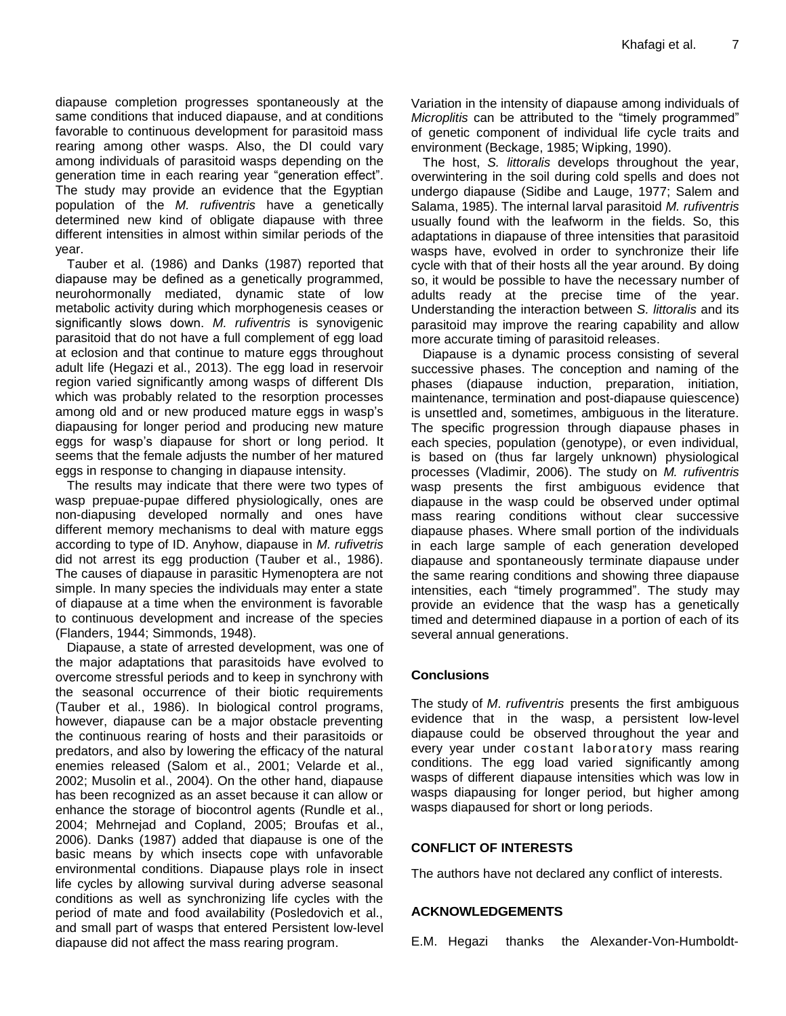diapause completion progresses spontaneously at the same conditions that induced diapause, and at conditions favorable to continuous development for parasitoid mass rearing among other wasps. Also, the DI could vary among individuals of parasitoid wasps depending on the generation time in each rearing year "generation effect". The study may provide an evidence that the Egyptian population of the *M. rufiventris* have a genetically determined new kind of obligate diapause with three different intensities in almost within similar periods of the year.

Tauber et al. (1986) and Danks (1987) reported that diapause may be defined as a genetically programmed, neurohormonally mediated, dynamic state of low metabolic activity during which morphogenesis ceases or significantly slows down. *M. rufiventris* is synovigenic parasitoid that do not have a full complement of egg load at eclosion and that continue to mature eggs throughout adult life (Hegazi et al., 2013). The egg load in reservoir region varied significantly among wasps of different DIs which was probably related to the resorption processes among old and or new produced mature eggs in wasp's diapausing for longer period and producing new mature eggs for wasp's diapause for short or long period. It seems that the female adjusts the number of her matured eggs in response to changing in diapause intensity.

The results may indicate that there were two types of wasp prepuae-pupae differed physiologically, ones are non-diapusing developed normally and ones have different memory mechanisms to deal with mature eggs according to type of ID. Anyhow, diapause in *M. rufivetris*  did not arrest its egg production (Tauber et al., 1986). The causes of diapause in parasitic Hymenoptera are not simple. In many species the individuals may enter a state of diapause at a time when the environment is favorable to continuous development and increase of the species (Flanders, 1944; Simmonds, 1948).

Diapause, a state of arrested development, was one of the major adaptations that parasitoids have evolved to overcome stressful periods and to keep in synchrony with the seasonal occurrence of their biotic requirements (Tauber et al., 1986). In biological control programs, however, diapause can be a major obstacle preventing the continuous rearing of hosts and their parasitoids or predators, and also by lowering the efficacy of the natural enemies released (Salom et al., 2001; Velarde et al., 2002; Musolin et al., 2004). On the other hand, diapause has been recognized as an asset because it can allow or enhance the storage of biocontrol agents (Rundle et al., 2004; Mehrnejad and Copland, 2005; Broufas et al., 2006). Danks (1987) added that diapause is one of the basic means by which insects cope with unfavorable environmental conditions. Diapause plays role in insect life cycles by allowing survival during adverse seasonal conditions as well as synchronizing life cycles with the period of mate and food availability (Posledovich et al., and small part of wasps that entered Persistent low-level diapause did not affect the mass rearing program.

Variation in the intensity of diapause among individuals of *Microplitis* can be attributed to the "timely programmed" of genetic component of individual life cycle traits and environment (Beckage, 1985; Wipking, 1990).

The host, *S. littoralis* develops throughout the year, overwintering in the soil during cold spells and does not undergo diapause (Sidibe and Lauge, 1977; Salem and Salama, 1985). The internal larval parasitoid *M. rufiventris* usually found with the leafworm in the fields. So, this adaptations in diapause of three intensities that parasitoid wasps have, evolved in order to synchronize their life cycle with that of their hosts all the year around. By doing so, it would be possible to have the necessary number of adults ready at the precise time of the year. Understanding the interaction between *S. littoralis* and its parasitoid may improve the rearing capability and allow more accurate timing of parasitoid releases.

Diapause is a dynamic process consisting of several successive phases. The conception and naming of the phases (diapause induction, preparation, initiation, maintenance, termination and post-diapause quiescence) is unsettled and, sometimes, ambiguous in the literature. The specific progression through diapause phases in each species, population (genotype), or even individual, is based on (thus far largely unknown) physiological processes (Vladimir, 2006). The study on *M. rufiventris* wasp presents the first ambiguous evidence that diapause in the wasp could be observed under optimal mass rearing conditions without clear successive diapause phases. Where small portion of the individuals in each large sample of each generation developed diapause and spontaneously terminate diapause under the same rearing conditions and showing three diapause intensities, each "timely programmed". The study may provide an evidence that the wasp has a genetically timed and determined diapause in a portion of each of its several annual generations.

## **Conclusions**

The study of *M. rufiventris* presents the first ambiguous evidence that in the wasp, a persistent low-level diapause could be observed throughout the year and every year under costant laboratory mass rearing conditions. The egg load varied significantly among wasps of different diapause intensities which was low in wasps diapausing for longer period, but higher among wasps diapaused for short or long periods.

## **CONFLICT OF INTERESTS**

The authors have not declared any conflict of interests.

## **ACKNOWLEDGEMENTS**

E.M. Hegazi thanks the Alexander-Von-Humboldt-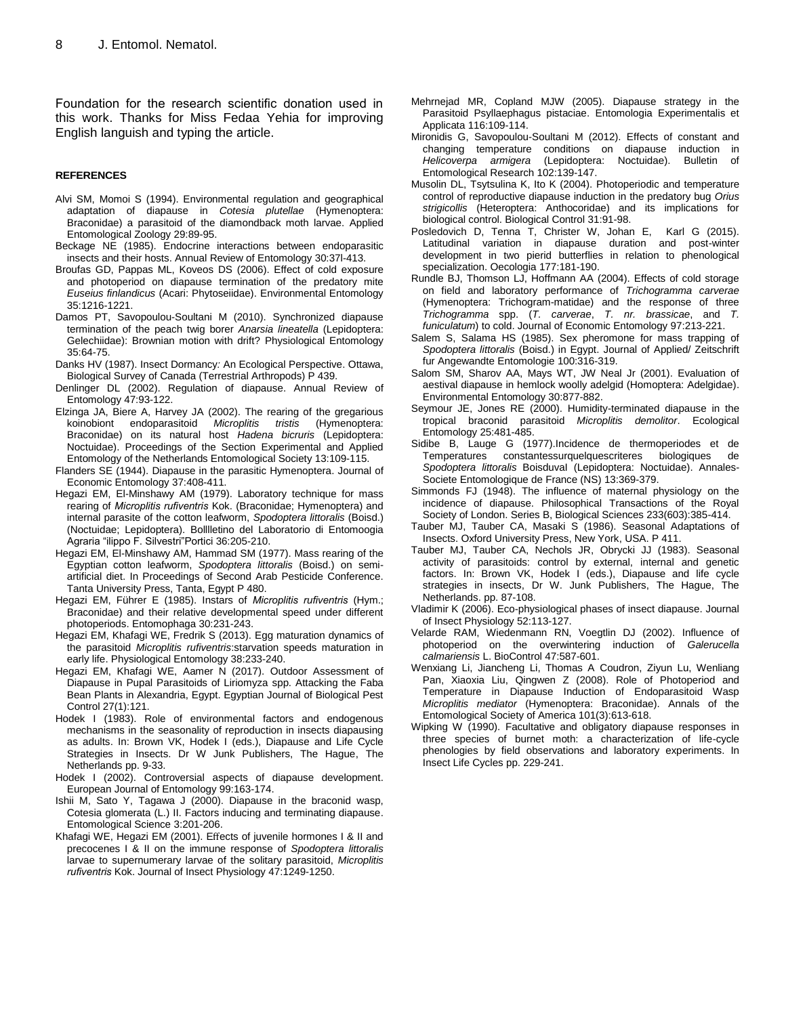Foundation for the research scientific donation used in this work. Thanks for Miss Fedaa Yehia for improving English languish and typing the article.

#### **REFERENCES**

- Alvi SM, Momoi S (1994). Environmental regulation and geographical adaptation of diapause in *Cotesia plutellae* (Hymenoptera: Braconidae) a parasitoid of the diamondback moth larvae. Applied Entomological Zoology 29:89-95.
- Beckage NE (1985). Endocrine interactions between endoparasitic insects and their hosts. Annual Review of Entomology 30:37l-413.
- Broufas GD, Pappas ML, Koveos DS (2006). Effect of cold exposure and photoperiod on diapause termination of the predatory mite *Euseius finlandicus* (Acari: Phytoseiidae). Environmental Entomology 35:1216-1221.
- Damos PT, Savopoulou-Soultani M (2010). Synchronized diapause termination of the peach twig borer *Anarsia lineatella* (Lepidoptera: Gelechiidae): Brownian motion with drift? Physiological Entomology 35:64-75.
- Danks HV (1987). Insect Dormancy*:* An Ecological Perspective. Ottawa, Biological Survey of Canada (Terrestrial Arthropods) P 439.
- Denlinger DL (2002). Regulation of diapause. Annual Review of Entomology 47:93-122.
- Elzinga JA, Biere A, Harvey JA (2002). The rearing of the gregarious koinobiont endoparasitoid *Microplitis tristis* (Hymenoptera: Braconidae) on its natural host *Hadena bicruris* (Lepidoptera: Noctuidae). Proceedings of the Section Experimental and Applied Entomology of the Netherlands Entomological Society 13:109-115.
- [Flanders](https://www.sciencedirect.com/science/article/pii/002219108290021X#bBIB10) SE (1944). Diapause in the parasitic Hymenoptera. Journal of Economic Entomology 37:408-411.
- Hegazi EM, El-Minshawy AM (1979). Laboratory technique for mass rearing of *Microplitis rufiventris* Kok. (Braconidae; Hymenoptera) and internal parasite of the cotton leafworm, *Spodoptera littoralis* (Boisd.) (Noctuidae; Lepidoptera). Bolllletino del Laboratorio di Entomoogia Agraria "ilippo F. Silvestri"Portici 36:205-210.
- Hegazi EM, El-Minshawy AM, Hammad SM (1977). Mass rearing of the Egyptian cotton leafworm, *Spodoptera littoralis* (Boisd.) on semiartificial diet. In Proceedings of Second Arab Pesticide Conference. Tanta University Press, Tanta, Egypt P 480.
- Hegazi EM, Führer E (1985). Instars of *Microplitis rufiventris* (Hym.; Braconidae) and their relative developmental speed under different photoperiods. Entomophaga 30:231-243.
- Hegazi EM, Khafagi WE, Fredrik S (2013). Egg maturation dynamics of the parasitoid *Microplitis rufiventris*:starvation speeds maturation in early life. Physiological Entomology 38:233-240.
- Hegazi EM, Khafagi WE, Aamer N (2017). Outdoor Assessment of Diapause in Pupal Parasitoids of Liriomyza spp. Attacking the Faba Bean Plants in Alexandria, Egypt. Egyptian Journal of Biological Pest Control 27(1):121.
- Hodek I (1983). Role of environmental factors and endogenous mechanisms in the seasonality of reproduction in insects diapausing as adults. In: Brown VK, Hodek I (eds.), Diapause and Life Cycle Strategies in Insects. Dr W Junk Publishers, The Hague, The Netherlands pp. 9-33.
- Hodek I (2002). Controversial aspects of diapause development. European Journal of Entomology 99:163-174.
- Ishii M, Sato Y, Tagawa J (2000). Diapause in the braconid wasp, Cotesia glomerata (L.) II. Factors inducing and terminating diapause. Entomological Science 3:201-206.
- Khafagi WE, Hegazi EM (2001). Effects of juvenile hormones I & II and precocenes I & II on the immune response of *Spodoptera littoralis* larvae to supernumerary larvae of the solitary parasitoid, *Microplitis rufiventris* Kok. Journal of Insect Physiology 47:1249-1250.
- Mehrnejad MR, Copland MJW (2005). Diapause strategy in the Parasitoid Psyllaephagus pistaciae. Entomologia Experimentalis et Applicata 116:109-114.
- Mironidis G, Savopoulou-Soultani M (2012). Effects of constant and changing temperature conditions on diapause induction in *Helicoverpa armigera* (Lepidoptera: Noctuidae). Bulletin of Entomological Research 102:139-147.
- Musolin DL, Tsytsulina K, Ito K (2004). Photoperiodic and temperature control of reproductive diapause induction in the predatory bug *Orius strigicollis* (Heteroptera: Anthocoridae) and its implications for biological control. Biological Control 31:91-98.
- Posledovich D, Tenna T, Christer W, Johan E, Karl G (2015). Latitudinal variation in diapause duration and post-winter development in two pierid butterflies in relation to phenological specialization. Oecologia 177:181-190.
- Rundle BJ, Thomson LJ, Hoffmann AA (2004). Effects of cold storage on field and laboratory performance of *Trichogramma carverae* (Hymenoptera: Trichogram-matidae) and the response of three *Trichogramma* spp. (*T. carverae*, *T. nr. brassicae*, and *T. funiculatum*) to cold. Journal of Economic Entomology 97:213-221.
- Salem S, Salama HS (1985). Sex pheromone for mass trapping of *Spodoptera littoralis* (Boisd.) in Egypt. Journal of Applied/ Zeitschrift fur Angewandte Entomologie 100:316-319.
- Salom SM, Sharov AA, Mays WT, JW Neal Jr (2001). Evaluation of aestival diapause in hemlock woolly adelgid (Homoptera: Adelgidae). Environmental Entomology 30:877-882.
- Seymour JE, Jones RE (2000). Humidity-terminated diapause in the tropical braconid parasitoid *Microplitis demolitor*. Ecological Entomology 25:481-485.
- Sidibe B, Lauge G (1977).Incidence de thermoperiodes et de Temperatures constantessurquelquescriteres biologiques de *Spodoptera littoralis* BoisduvaI (Lepidoptera: Noctuidae). [Annales-](https://www.google.com/url?sa=t&rct=j&q=&esrc=s&source=web&cd=3&cad=rja&uact=8&ved=2ahUKEwiy_qKN5onbAhWCiywKHcrDAYgQFjACegQIARA5&url=https%3A%2F%2Fwww.researchgate.net%2Fjournal%2F0037-9271_Annales-Societe_Entomologique_de_France&usg=AOvVaw0GevzoNd_IoULObmsxV8cu)[Societe Entomologique de France](https://www.google.com/url?sa=t&rct=j&q=&esrc=s&source=web&cd=3&cad=rja&uact=8&ved=2ahUKEwiy_qKN5onbAhWCiywKHcrDAYgQFjACegQIARA5&url=https%3A%2F%2Fwww.researchgate.net%2Fjournal%2F0037-9271_Annales-Societe_Entomologique_de_France&usg=AOvVaw0GevzoNd_IoULObmsxV8cu) (NS) 13:369-379.
- Simmonds FJ (1948). The influence of maternal physiology on the incidence of diapause. Philosophical Transactions of the Royal Society of London. Series B, Biological Sciences 233(603):385-414.
- Tauber MJ, Tauber CA, Masaki S (1986). Seasonal Adaptations of Insects. Oxford University Press, New York, USA. P 411.
- Tauber MJ, Tauber CA, Nechols JR, Obrycki JJ (1983). Seasonal activity of parasitoids: control by external, internal and genetic factors. In: Brown VK, Hodek I (eds.), Diapause and life cycle strategies in insects, Dr W. Junk Publishers, The Hague, The Netherlands. pp. 87-108.
- Vladimir K (2006). Eco-physiological phases of insect diapause. Journal of Insect Physiology 52:113-127.
- Velarde RAM, Wiedenmann RN, Voegtlin DJ (2002). Influence of photoperiod on the overwintering induction of *Galerucella calmariensis* L. BioControl 47:587-601.
- Wenxiang Li, Jiancheng Li, Thomas A Coudron, Ziyun Lu, Wenliang Pan, Xiaoxia Liu, Qingwen Z (2008). Role of Photoperiod and Temperature in Diapause Induction of Endoparasitoid Wasp *Microplitis mediator* (Hymenoptera: Braconidae). Annals of the Entomological Society of America 101(3):613-618.
- Wipking W (1990). Facultative and obligatory diapause responses in three species of burnet moth: a characterization of life-cycle phenologies by field observations and laboratory experiments. In Insect Life Cycles pp. 229-241.